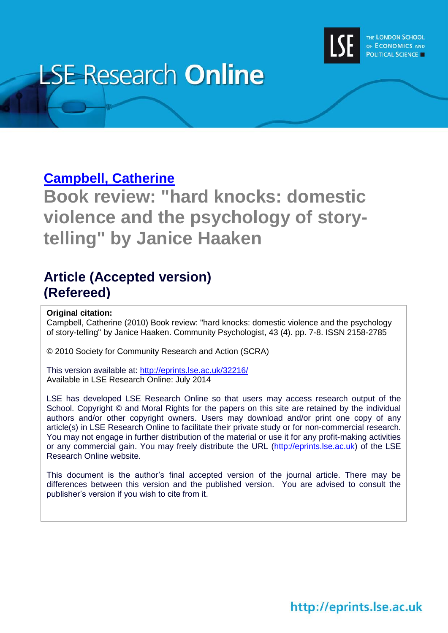

# **LSE Research Online**

## **[Campbell, Catherine](http://www2.lse.ac.uk/researchAndExpertise/Experts/profile.aspx?KeyValue=c.campbell@lse.ac.uk)**

**Book review: "hard knocks: domestic violence and the psychology of storytelling" by Janice Haaken**

## **Article (Accepted version) (Refereed)**

#### **Original citation:**

Campbell, Catherine (2010) Book review: "hard knocks: domestic violence and the psychology of story-telling" by Janice Haaken. Community Psychologist, 43 (4). pp. 7-8. ISSN 2158-2785

© 2010 Society for Community Research and Action (SCRA)

This version available at:<http://eprints.lse.ac.uk/32216/> Available in LSE Research Online: July 2014

LSE has developed LSE Research Online so that users may access research output of the School. Copyright © and Moral Rights for the papers on this site are retained by the individual authors and/or other copyright owners. Users may download and/or print one copy of any article(s) in LSE Research Online to facilitate their private study or for non-commercial research. You may not engage in further distribution of the material or use it for any profit-making activities or any commercial gain. You may freely distribute the URL (http://eprints.lse.ac.uk) of the LSE Research Online website.

This document is the author's final accepted version of the journal article. There may be differences between this version and the published version. You are advised to consult the publisher's version if you wish to cite from it.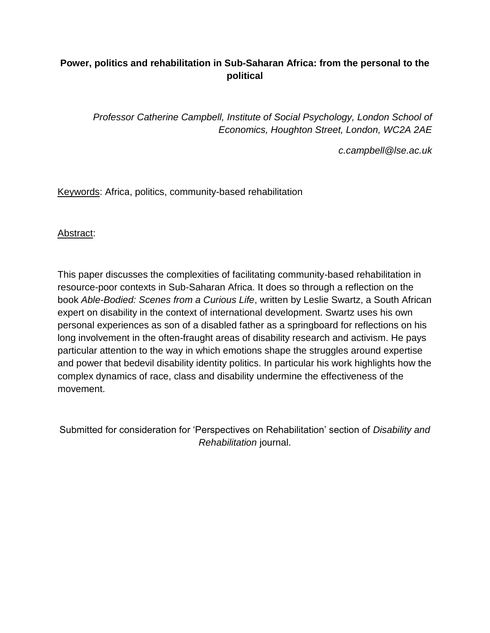### **Power, politics and rehabilitation in Sub-Saharan Africa: from the personal to the political**

*Professor Catherine Campbell, Institute of Social Psychology, London School of Economics, Houghton Street, London, WC2A 2AE*

*c.campbell@lse.ac.uk*

Keywords: Africa, politics, community-based rehabilitation

Abstract:

This paper discusses the complexities of facilitating community-based rehabilitation in resource-poor contexts in Sub-Saharan Africa. It does so through a reflection on the book *Able-Bodied: Scenes from a Curious Life*, written by Leslie Swartz, a South African expert on disability in the context of international development. Swartz uses his own personal experiences as son of a disabled father as a springboard for reflections on his long involvement in the often-fraught areas of disability research and activism. He pays particular attention to the way in which emotions shape the struggles around expertise and power that bedevil disability identity politics. In particular his work highlights how the complex dynamics of race, class and disability undermine the effectiveness of the movement.

Submitted for consideration for 'Perspectives on Rehabilitation' section of *Disability and Rehabilitation* journal.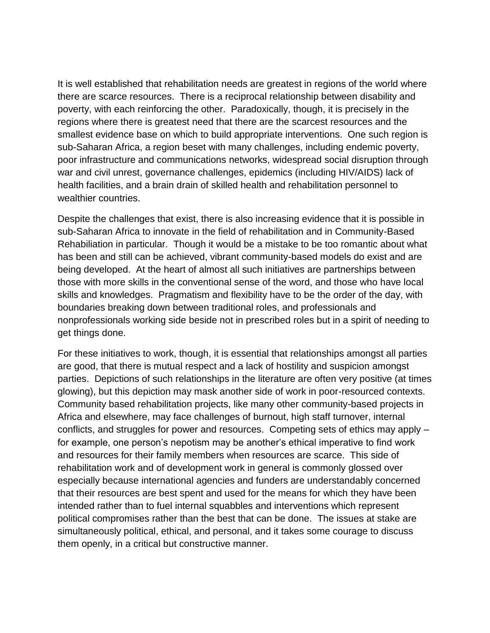It is well established that rehabilitation needs are greatest in regions of the world where there are scarce resources. There is a reciprocal relationship between disability and poverty, with each reinforcing the other. Paradoxically, though, it is precisely in the regions where there is greatest need that there are the scarcest resources and the smallest evidence base on which to build appropriate interventions. One such region is sub-Saharan Africa, a region beset with many challenges, including endemic poverty, poor infrastructure and communications networks, widespread social disruption through war and civil unrest, governance challenges, epidemics (including HIV/AIDS) lack of health facilities, and a brain drain of skilled health and rehabilitation personnel to wealthier countries.

Despite the challenges that exist, there is also increasing evidence that it is possible in sub-Saharan Africa to innovate in the field of rehabilitation and in Community-Based Rehabiliation in particular. Though it would be a mistake to be too romantic about what has been and still can be achieved, vibrant community-based models do exist and are being developed. At the heart of almost all such initiatives are partnerships between those with more skills in the conventional sense of the word, and those who have local skills and knowledges. Pragmatism and flexibility have to be the order of the day, with boundaries breaking down between traditional roles, and professionals and nonprofessionals working side beside not in prescribed roles but in a spirit of needing to get things done.

For these initiatives to work, though, it is essential that relationships amongst all parties are good, that there is mutual respect and a lack of hostility and suspicion amongst parties. Depictions of such relationships in the literature are often very positive (at times glowing), but this depiction may mask another side of work in poor-resourced contexts. Community based rehabilitation projects, like many other community-based projects in Africa and elsewhere, may face challenges of burnout, high staff turnover, internal conflicts, and struggles for power and resources. Competing sets of ethics may apply – for example, one person's nepotism may be another's ethical imperative to find work and resources for their family members when resources are scarce. This side of rehabilitation work and of development work in general is commonly glossed over especially because international agencies and funders are understandably concerned that their resources are best spent and used for the means for which they have been intended rather than to fuel internal squabbles and interventions which represent political compromises rather than the best that can be done. The issues at stake are simultaneously political, ethical, and personal, and it takes some courage to discuss them openly, in a critical but constructive manner.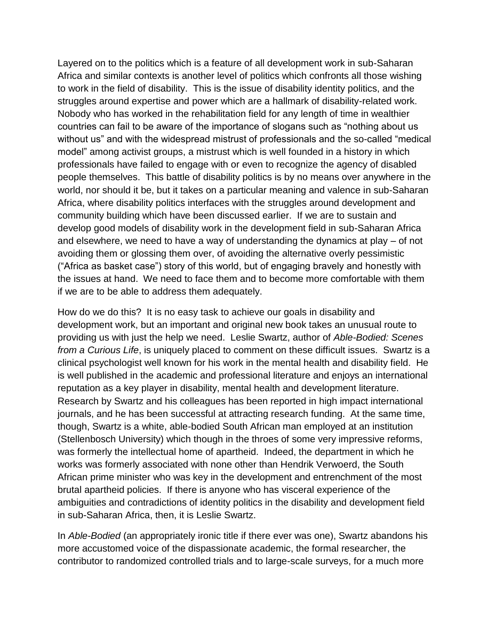Layered on to the politics which is a feature of all development work in sub-Saharan Africa and similar contexts is another level of politics which confronts all those wishing to work in the field of disability. This is the issue of disability identity politics, and the struggles around expertise and power which are a hallmark of disability-related work. Nobody who has worked in the rehabilitation field for any length of time in wealthier countries can fail to be aware of the importance of slogans such as "nothing about us without us" and with the widespread mistrust of professionals and the so-called "medical model" among activist groups, a mistrust which is well founded in a history in which professionals have failed to engage with or even to recognize the agency of disabled people themselves. This battle of disability politics is by no means over anywhere in the world, nor should it be, but it takes on a particular meaning and valence in sub-Saharan Africa, where disability politics interfaces with the struggles around development and community building which have been discussed earlier. If we are to sustain and develop good models of disability work in the development field in sub-Saharan Africa and elsewhere, we need to have a way of understanding the dynamics at play – of not avoiding them or glossing them over, of avoiding the alternative overly pessimistic ("Africa as basket case") story of this world, but of engaging bravely and honestly with the issues at hand. We need to face them and to become more comfortable with them if we are to be able to address them adequately.

How do we do this? It is no easy task to achieve our goals in disability and development work, but an important and original new book takes an unusual route to providing us with just the help we need. Leslie Swartz, author of *Able-Bodied: Scenes from a Curious Life*, is uniquely placed to comment on these difficult issues. Swartz is a clinical psychologist well known for his work in the mental health and disability field. He is well published in the academic and professional literature and enjoys an international reputation as a key player in disability, mental health and development literature. Research by Swartz and his colleagues has been reported in high impact international journals, and he has been successful at attracting research funding. At the same time, though, Swartz is a white, able-bodied South African man employed at an institution (Stellenbosch University) which though in the throes of some very impressive reforms, was formerly the intellectual home of apartheid. Indeed, the department in which he works was formerly associated with none other than Hendrik Verwoerd, the South African prime minister who was key in the development and entrenchment of the most brutal apartheid policies. If there is anyone who has visceral experience of the ambiguities and contradictions of identity politics in the disability and development field in sub-Saharan Africa, then, it is Leslie Swartz.

In *Able-Bodied* (an appropriately ironic title if there ever was one), Swartz abandons his more accustomed voice of the dispassionate academic, the formal researcher, the contributor to randomized controlled trials and to large-scale surveys, for a much more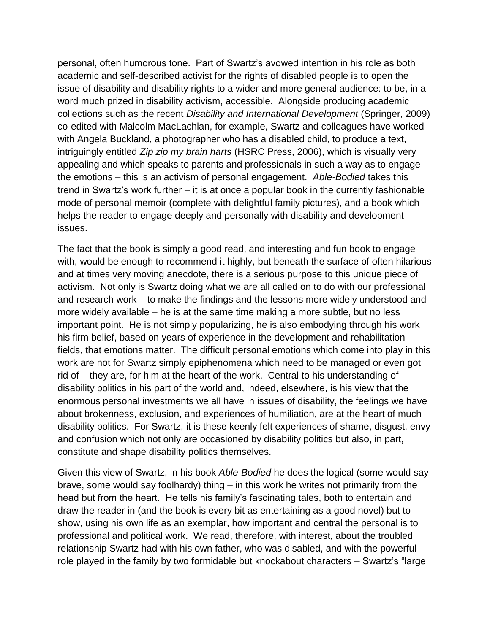personal, often humorous tone. Part of Swartz's avowed intention in his role as both academic and self-described activist for the rights of disabled people is to open the issue of disability and disability rights to a wider and more general audience: to be, in a word much prized in disability activism, accessible. Alongside producing academic collections such as the recent *Disability and International Development* (Springer, 2009) co-edited with Malcolm MacLachlan, for example, Swartz and colleagues have worked with Angela Buckland, a photographer who has a disabled child, to produce a text, intriguingly entitled *Zip zip my brain harts* (HSRC Press, 2006), which is visually very appealing and which speaks to parents and professionals in such a way as to engage the emotions – this is an activism of personal engagement. *Able-Bodied* takes this trend in Swartz's work further – it is at once a popular book in the currently fashionable mode of personal memoir (complete with delightful family pictures), and a book which helps the reader to engage deeply and personally with disability and development issues.

The fact that the book is simply a good read, and interesting and fun book to engage with, would be enough to recommend it highly, but beneath the surface of often hilarious and at times very moving anecdote, there is a serious purpose to this unique piece of activism. Not only is Swartz doing what we are all called on to do with our professional and research work – to make the findings and the lessons more widely understood and more widely available – he is at the same time making a more subtle, but no less important point. He is not simply popularizing, he is also embodying through his work his firm belief, based on years of experience in the development and rehabilitation fields, that emotions matter. The difficult personal emotions which come into play in this work are not for Swartz simply epiphenomena which need to be managed or even got rid of – they are, for him at the heart of the work. Central to his understanding of disability politics in his part of the world and, indeed, elsewhere, is his view that the enormous personal investments we all have in issues of disability, the feelings we have about brokenness, exclusion, and experiences of humiliation, are at the heart of much disability politics. For Swartz, it is these keenly felt experiences of shame, disgust, envy and confusion which not only are occasioned by disability politics but also, in part, constitute and shape disability politics themselves.

Given this view of Swartz, in his book *Able-Bodied* he does the logical (some would say brave, some would say foolhardy) thing – in this work he writes not primarily from the head but from the heart. He tells his family's fascinating tales, both to entertain and draw the reader in (and the book is every bit as entertaining as a good novel) but to show, using his own life as an exemplar, how important and central the personal is to professional and political work. We read, therefore, with interest, about the troubled relationship Swartz had with his own father, who was disabled, and with the powerful role played in the family by two formidable but knockabout characters – Swartz's "large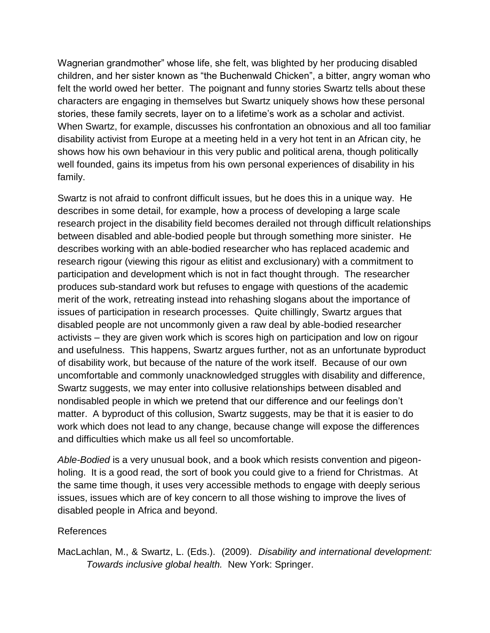Wagnerian grandmother" whose life, she felt, was blighted by her producing disabled children, and her sister known as "the Buchenwald Chicken", a bitter, angry woman who felt the world owed her better. The poignant and funny stories Swartz tells about these characters are engaging in themselves but Swartz uniquely shows how these personal stories, these family secrets, layer on to a lifetime's work as a scholar and activist. When Swartz, for example, discusses his confrontation an obnoxious and all too familiar disability activist from Europe at a meeting held in a very hot tent in an African city, he shows how his own behaviour in this very public and political arena, though politically well founded, gains its impetus from his own personal experiences of disability in his family.

Swartz is not afraid to confront difficult issues, but he does this in a unique way. He describes in some detail, for example, how a process of developing a large scale research project in the disability field becomes derailed not through difficult relationships between disabled and able-bodied people but through something more sinister. He describes working with an able-bodied researcher who has replaced academic and research rigour (viewing this rigour as elitist and exclusionary) with a commitment to participation and development which is not in fact thought through. The researcher produces sub-standard work but refuses to engage with questions of the academic merit of the work, retreating instead into rehashing slogans about the importance of issues of participation in research processes. Quite chillingly, Swartz argues that disabled people are not uncommonly given a raw deal by able-bodied researcher activists – they are given work which is scores high on participation and low on rigour and usefulness. This happens, Swartz argues further, not as an unfortunate byproduct of disability work, but because of the nature of the work itself. Because of our own uncomfortable and commonly unacknowledged struggles with disability and difference, Swartz suggests, we may enter into collusive relationships between disabled and nondisabled people in which we pretend that our difference and our feelings don't matter. A byproduct of this collusion, Swartz suggests, may be that it is easier to do work which does not lead to any change, because change will expose the differences and difficulties which make us all feel so uncomfortable.

*Able-Bodied* is a very unusual book, and a book which resists convention and pigeonholing. It is a good read, the sort of book you could give to a friend for Christmas. At the same time though, it uses very accessible methods to engage with deeply serious issues, issues which are of key concern to all those wishing to improve the lives of disabled people in Africa and beyond.

#### References

MacLachlan, M., & Swartz, L. (Eds.). (2009). *Disability and international development: Towards inclusive global health.* New York: Springer.